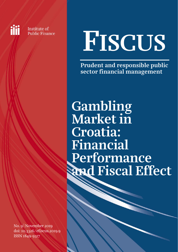Institute of **Public Finance** 

iii

# FISCUS

Prudent and responsible public sector financial management

Gambling Market in Croatia: Financial Performance and Fiscal Effect

No. 9 November 2019 doi: [10.3326/efiscus.2019.9](https://doi.org/10.3326/efiscus.2019.9)  ISSN 1849-9317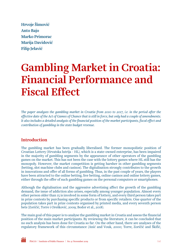Hrvoje Šimović Anto Bajo Marko Primorac Marija Davidović Filip Jelavić

# Gambling Market in Croatia: Financial Performance and Fiscal Effect

*The paper analyses the gambling market in Croatia from 2010 to 2017, i.e. in the period after the effective date of the Act of Games of Chance that is still in force, but only had a couple of amendments. It also includes a detailed analysis of the financial position of the market participants, fiscal effect and contribution of gambling in the state budget revenue.* 

# Introduction

The gambling market has been gradually liberalised. The former monopolistic position of Croatian Lottery (Hrvatska lutrija - HL), which is a state-owned enterprise, has been impaired in the majority of gambling segments by the appearance of other operators of the gambling games on the market. This has not been the case with the lottery games where HL still has the monopoly. However, the market competition is getting harsher in other gambling segments (betting, slot machine clubs and casinos). The digitalisation strongly contributes to the growth in innovations and offer of all forms of gambling. Thus, in the past couple of years, the players have been attracted to the online betting, live betting, online casinos and online lottery games, either through the offer of such gambling games on the personal computers or smartphones.

Although the digitalisation and the aggressive advertising affect the growth of the gambling demand, the issue of addiction also arises, especially among younger population. Almost every other person older than 15 is involved in some form of lottery, and every third person takes part in prize contests by purchasing specific products or from specific retailers. One quarter of the population takes part in prize contests organised by printed media, and every seventh person bets (Zoričić, Torre i Orešković, 2009; Bodor et al., 2018).

The main goal of this paper is to analyse the gambling market in Croatia and assess the financial position of the main market participants. By reviewing the literature, it can be concluded that no such analysis has been done for Croatia so far. On the other hand, there are analyses of the regulatory framework of this circumstance (Anić and Vouk, 2000; Torre, Zoričić and Škifić,

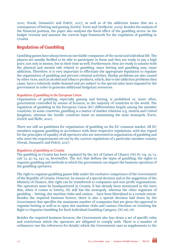2010; Horak, Dumančić and Pošćić, 2017), as well as of the addiction issues that are a consequence of betting and gaming (Zoričić, Torre and Orešković, 2009). Besides the analysis of the financial position, the paper also analyses the fiscal effect of the gambling sector on the budget revenue and assesses the current legal framework for the regulation of gambling in Croatia.

# Regulation of Gambling

Gambling games have always been an inevitable companion of the social and individual life. The players are usually thrilled to be able to participate in them and they are ready to pay a high price, not only in money, but in their time as well. Furthermore, they are ready to assume both the physical and mental risk related to gambling, since betting and gambling may cause addiction. Therefore, it is very important to effectuate the appropriate legislation to regulate the organisation of gambling and prevent criminal activities. Similar problems are also caused by other vices, such as alcohol and tobacco products, which, due to the addiction problems they cause, have a relatively stable demand and are subject to the special sales taxes imposed by the government in order to generate additional budgetary resources.

#### *Regulation of gambling in the European Union*

Organisation of gambling, especially gaming and betting, is prohibited or, more often, government-controlled by means of licences, in the majority of countries in the world. The regulation of gambling in the European Union (EU) differentiates largely among the member countries. In some countries, gambling is a matter of market relations (e.g. Austria and United Kingdom), whereas the Nordic countries insist on maintaining the state monopoly (Torre, Zoričić and Škifić, 2010).

There are still no guidelines for organisation of gambling on the EU common market. All EU members organise gambling in accordance with their respective regulations, with due regard for the principles of equality of all operators who are interested in organisation of gambling and who meet the requirements set out by the current regulations of a particular member country (Horak, Dumančić and Pošćić, 2017).

#### *Regulation of gambling in Croatia*

The gambling in Croatia has been regulated by the Act of Games of Chance (OG  $87/09$ ,  $35/13$ , 158/13, 41/14, 143/14, hereinafter: The Act) that defines the types of gambling, the rights to organise gambling and methods in which the government can impact the business operation of the gambling operators.

The right to organise gambling games falls under the exclusive competence of the Government of the Republic of Croatia. However, by means of a special decision and at the suggestion of the Ministry of Finance, this right can be transferred to companies and non-profit organisations. The operators must be headquartered in Croatia. It has already been mentioned in the intro that, when it comes to lottery, HL still has the monopoly, whereas the other segments of gambling – betting, slot machine clubs and casinos – have been liberalised to a certain extent. Besides the required business licence, there is also a special decision laid down by the Government that specifies the maximum number of companies that are given the approval to organise betting as well as to open slot machine clubs and casinos (Decision on Granting the Right to Organise Gambling for Each Individual Gambling Category, OG 116/18).

Besides the required business licences, the Government also lays down a set of specific rules and restrictions which the operators are obligated to comply with. There is a number of ordinances (see the references for details) which the Government uses as supplements to the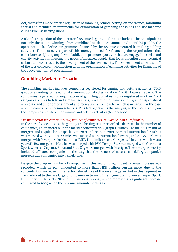Act, that is for a more precise regulation of gambling, remote betting, online casinos, minimum spatial and technical requirements for organisation of gambling at casinos and slot machine clubs as well as betting shops.

A significant portion of the operators' revenue is going to the state budget. The Act stipulates not only the tax on winnings from gambling, but also fees (annual and monthly) paid by the operators. It also defines programmes financed by the revenue generated from the gambling activities. For instance, a part of this money is used for financing the organisations that contribute to fighting any form of addiction, promote sports, or that are engaged in social and charity activities, in meeting the needs of impaired people, that focus on culture and technical culture and contribute to the development of the civil society. The Government allocates 50% of the fees collected in connection with the organisation of gambling activities for financing of the above-mentioned programmes.

# Gambling Market in Croatia

The gambling market includes companies registered for gaming and betting activities (NKD 9.2000) according to the national economic activity classification (NKD). However, a part of the companies registered for organisation of gambling activities is also registered in other NKD categories, e.g. as hotels and similar facilities, production of games and toys, non-specialised wholesale and other entertainment and recreation activities etc., which is in particular the case when it comes to the casino activities. This fact aggravates the analysis, so the focus is only on the companies registered for gaming and betting activities (NKD 9.2000).

#### *The main sector indicators: revenue, number of companies, employment and profitability*

In the period 2008 – 2017, the gaming and betting sector recorded a decrease in the number of companies, i.e. an increase in the market concentration (graph 1), which was mainly a result of mergers and acquisitions, especially in 2013 and 2016. In 2013, Admiral International Kasinos was merged with Captura, Osmica was merged with International Evona, and ABCAstoria was merged with Prva sportska kladionica (PSK). The similar scenario repeated in 2016, which was a year of a few mergers – Hattrick was merged with PSK, Tempo-Star was merged with Germania Sport, whereas Captura, Bolus and Blue Sky were merged with Interigre. These mergers mostly included affiliated companies in the way that the owners of several subsidiary companies merged such companies into a single one.

Despite the drop in number of companies in this sector, a significant revenue increase was recorded, which in 2017 amounted to more than HRK 3 billion. Furthermore, due to the concentration increase in the sector, almost 70% of the revenue generated in this segment in 2017 referred to the five largest companies in terms of their generated turnover (Super Sport, HL, Interigre, Hattrick-PSK and International Evona), which represents a significant increase compared to 2009 when the revenue amounted only 52%.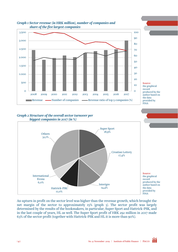

#### *Graph 1 Sector revenue (in HRK million), number of companies and share of the five largest companies*



#### *Graph 2 Structure of the overall sector turnover per biggest companies in 2017 (in %)*



An upturn in profit on the sector level was higher than the revenue growth, which brought the net margin of the sector to approximately 15% (graph 3). The sector profit was largely determined by the results of the bookmakers, in particular, Super Sport and Hattrick-PSK, and in the last couple of years, HL as well. The Super Sport profit of HRK 292 million in 2017 made 63% of the sector profit (together with Hattrick-PSK and HL it is more than 90%).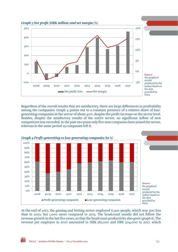

Regardless of the overall results that are satisfactory, there are large differences in profitability among the companies. Graph 4 points out to a constant presence of a relative share of lossgenerating companies in the sector of about 40%, despite the profit increase on the sector level. Besides, despite the satisfactory results of the entire sector, no significant inflow of new competitors was recorded. In the past two years only five new companies have joined the sector, whereas in the same period 19 companies left it.



At the end of 2017, the gaming and betting sector employed 6,300 people, which was 500 less than in 2010, but 1,000 more compared to 2015. The headcount mostly did not follow the revenue growth in the last five years, so that the headcount productivity also grew (graph 6). The revenue per employee in 2010 amounted to HRK 281,000 and HRK 504,000 in 2017, which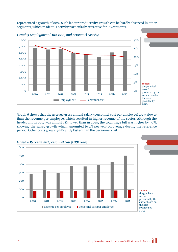represented a growth of 80%. Such labour productivity growth can be hardly observed in other segments, which made this activity particularly attractive for investments.



Graph 6 shows that the average gross annual salary (personnel cost per employee) grew slower than the revenue per employee, which resulted in higher revenue of the sector. Although the headcount in 2017 was almost 18% lower than in 2010, the total wage bill was higher by 30%, showing the salary growth which amounted to 2% per year on average during the reference period. Other costs grew significantly faster than the personnel cost.

![](_page_7_Figure_3.jpeg)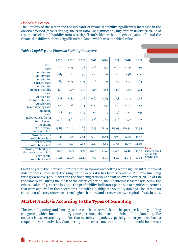#### *Financial indicators*

The liquidity of the sector and the indicator of financial stability significantly increased in the observed period (table 1). In 2017, the cash ratio was significantly higher than its critical value of 0.5, the accelerated liquidity ratio was significantly higher than its critical value of 1, and the financial stability ratio was significantly below 1, which was its critical value.

|                                                    | 2010     | <b>20II</b> | 2012             | 2013         | 2014        | 2015        | 2016        | 2017        |                  |
|----------------------------------------------------|----------|-------------|------------------|--------------|-------------|-------------|-------------|-------------|------------------|
| Cash<br>ratio                                      | 0.26     | 0.25        | 0.38             | 0.46         | 0.5I        | 0.61        | 0.79        | 0.93        |                  |
| Accelerated<br>liquidity ratio                     | 0.83     | 0.81        | 0.99             | <b>I.22</b>  | 1.16        | 1.46        | 1.38        | <b>1.60</b> |                  |
| Accelerated<br><b>Current ratio</b>                | 0.89     | 0.85        | I.O <sub>3</sub> | I.26         | <b>I.I9</b> | <b>I.49</b> | <b>I.43</b> | I.64        |                  |
| Accelerated<br><b>Financial stability</b><br>ratio | I.I3     | I.27        | 0.96             | 0.77         | 0.82        | 0.68        | 0.73        | 0.64        |                  |
| Accelerated<br>Debt to equity ratio                | 0.78     | 0.82        | 0.76             | 0.67         | 0.69        | 0.58        | 0.53        | 0.48        |                  |
| Accelerated<br>Own financing ratio                 | 0.22     | 0.18        | 0.24             | 0.33         | 0.3I        | 0.42        | 0.47        | 0.52        |                  |
| Financing<br>ratio                                 | 3.48     | 4.42        | 3.09             | 2.05         | 2.25        | I.36        | <b>I.I4</b> | 0.9I        |                  |
| <b>Indebtedness factor</b><br>(no. of years)       | 3.76     | 4.67        | 4.46             | 4.76         | 5.84        | 4.16        | 4.50        | 3.02        |                  |
| Economy<br>of the overall<br>operations, in %      | 99.89    | 106.83      | 104.9<br>8       | II9.19       | 121.69      | II5.95      | II6.44      | 121.94      |                  |
| <b>Gross turnover</b><br>profitability, in %       | $-0.11$  | 6.39        | 4.74             | <b>16.10</b> | 17.83       | 13.76       | 14.12       | 17.99       |                  |
| Net turnover<br>profitability, in %                | $-1.83$  | 3.40        | 2.46             | 12.61        | 16.65       | 10.56       | II.57       | 14.40       |                  |
| Gross profitability of<br>the overall assets, in % | $-0.15$  | 8.93        | 5.77             | 22.37        | 23.41       | 13.08       | 14.48       | 19.76       | Sot<br>aut<br>on |
| Own capital<br>profitability, in %                 | $-11.26$ | 25.79       | 12.27            | 53.50        | 71.08       | 23.71       | 25.33       | 30.26       | pro<br>FIN       |

#### *Table 1 Liquidity and Financial Stability Indicators*

urce: thors, based the data pvided by  $\overline{A}$ 

Over the years, the increase in profitability in gaming and betting sector significantly improved indebtedness. Since 2013, the range of the debt ratio has been acceptable. The own financing ratio grew above 50% in 2017 and the financing ratio went down below the critical value of 1 in the same year. During the most of the observed period, the indebtedness factor was below the critical value of 5, except in 2014. The profitability indicators point out to significant returns that were achieved in these segments, but with a highlighted volatility (table 3). The latest data show a satisfactory return on assets higher than 15% and a return on own capital of 30% in 2017.

# Market Analysis According to the Types of Gambling

The overall gaming and betting sector can be observed from the perspective of gambling categories, which include lottery games, casinos, slot machine clubs and bookmaking. The analysis is exacerbated by the fact that certain companies, especially the larger ones, have a scope of several activities. Considering the market concentration, the four main businesses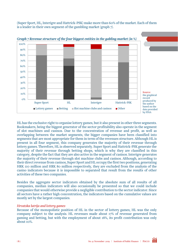(Super Sport, HL, Interigre and Hattrick-PSK) make more than 60% of the market. Each of them is a leader in their own segment of the gambling market (graph 7).

![](_page_9_Figure_1.jpeg)

*Graph 7 Revenue structure of the four biggest entities in the gabling market (in %)*

HL has the exclusive right to organise lottery games, but it also present in other three segments. Bookmakers, being the biggest generator of the sector profitability also operate in the segment of slot machines and casinos. Due to the concentration of revenue and profit, as well as overlapping between the market segments, the bigger companies have been classified into segments that are most appropriate for them in term of the revenues structure. Although HL is present in all four segment, this company generates the majority of their revenue through lottery games. Therefore, HL is observed separately. Super Sport and Hattrick-PSK generate the majority of their revenue through betting shops, which is why they are classified in this category, despite the fact that they are also active in the segment of casinos. Interigre generates the majority of their revenue through slot machine clubs and casinos. Although, according to their direct revenue from casinos, Super Sport and HL occupy the first two positions, generating HRK 110 million and HRK 80 million respectively, they are excluded from the analysis of the casino indicators because it is impossible to separated that result from the results of other activities of these two companies.

Besides the aggregate sector indicators obtained by the absolute sum of all results of all companies, median indicators will also occasionally be presented so that we could include companies that would otherwise provide a negligible contribution to the sector indicator. Since all sectors have a rather high concentration, the indicators based on the cumulative values are mostly set by the largest companies.

#### *Hrvatska lutrija and lottery games*

Because of the monopolistic position of HL in the sector of lottery games, HL was the only company subject to the analysis. HL revenues made about 17% of revenue generated from gaming and betting, but with the employment of about 18%, its profit contribution was only about 10%.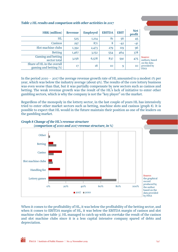| <b>HRK</b> (million)                                 | Revenue | <b>Employed</b> | <b>EBITDA</b> | <b>EBIT</b> | <b>Net</b><br>profit |                                 |
|------------------------------------------------------|---------|-----------------|---------------|-------------|----------------------|---------------------------------|
| HL                                                   | 525     | I,2I4           | 81            | 56          | 45                   |                                 |
| <b>Casinos</b>                                       | 297     | 871             | 8             | $-42$       | $-4I$                |                                 |
| Slot machine clubs                                   | I,392   | 2,473           | 279           | II9         | 96                   |                                 |
| <b>Betting</b>                                       | 1,467   | 3,152           | 554           | 464         | 378                  |                                 |
| Gaming and betting<br>sector total                   | 3,156   | 6,578           | 837           | 591         | 475                  | Source<br>author                |
| Share of HL in the overall<br>gaming and betting (%) | I7      | 18              | 10            | 9           | 10                   | on the<br>provid<br><b>FINA</b> |

#### *Table 2 HL results and comparison with other activities in 2017*

Source: rs, based data led by

In the period 2010 – 2017 the average revenue growth rate of HL amounted to a modest 1% per year, which was below the industry average (about 9%). The results of the core lottery business was even worse than that, but it was partially compensate by new sectors such as casinos and betting. The weak revenue growth was the result of the HL's lack of initiative to enter other gambling sectors, which is why the company is not the "key player" on the market.

Regardless of the monopoly in the lottery sector, in the last couple of years HL has intensively tried to enter other market sectors such as betting, machine slots and casinos (graph 8). It is possible to expect that HL would in the future maintain their position as one of the leaders on the gambling market.

![](_page_10_Figure_5.jpeg)

When it comes to the profitability of HL, it was below the profitability of the betting sector, and when it comes to EBITDA margin of HL, it was below the EBITDA margin of casinos and slot machine clubs (see table 3). HL managed to catch up with an overtake the result of the casinos and slot machine clubs since it is a less capital intensive company spared of debts and depreciation.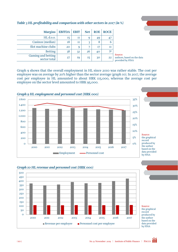0% 5% 2010 2011 2012 2013 2014 2015 2016 2017 Employment — Personnel cost

![](_page_11_Figure_1.jpeg)

Casinos (median)  $18$   $11$   $3$   $8$  6 Slot machine clubs  $\begin{vmatrix} 20 & 9 & 7 & 17 \end{vmatrix}$  11

Gaming and betting

 $Margins$  EBITDA EBIT Net ROE ROCE HL d.o.o.  $\begin{vmatrix} 15 & 11 & 9 & 49 \end{vmatrix}$  47

Betting  $38 | 32 | 26 | 40 | 31$ 

 $\left[\begin{array}{c|c} \text{30} & \text{31} \\ \text{32} & \text{33} \\ \text{33} & \text{34} \end{array}\right]$  22

Graph 9 shows that the overall employment in HL since 2010 was rather stable. The cost per employee was on average by 20% higher than the sector average (graph 10). In 2017, the average cost per employee in HL amounted to about HRK 115,000, whereas the average cost per employee on the sector level amounted to HRK 95,000.

Source:

authors, based on the data provided by FINA

![](_page_11_Figure_3.jpeg)

![](_page_11_Figure_4.jpeg)

![](_page_11_Figure_5.jpeg)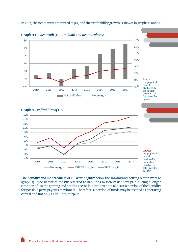In 2017, the net margin amounted to 9%, and the profitability growth is shown in graphs 11 and 12.

![](_page_12_Figure_1.jpeg)

#### *Graph 12 Profitability of HL*

![](_page_12_Figure_3.jpeg)

The liquidity and indebtedness of HL were slightly below the gaming and betting sector average (graph 13). The liabilities mostly referred to liabilities to lottery winners paid during a longer time period. In the gaming and betting sector it is important to allocate a portion of the liquidity for possible prize payouts to winners. Therefore, a portion of funds may be treated as operating capital and not only as liquidity surplus.

FISCUS Institute of Public Finance  $\begin{bmatrix} N_0 & 0 \end{bmatrix}$  No. 9/November 2019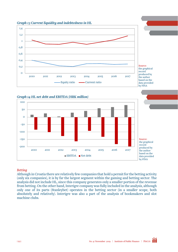![](_page_13_Figure_0.jpeg)

![](_page_13_Figure_1.jpeg)

![](_page_13_Figure_2.jpeg)

#### *Betting*

Although in Croatia there are relatively few companies that hold a permit for the betting activity (only six companies), it is by far the largest segment within the gaming and betting sector. The analysis did not include HL, since this company generates only a smaller portion of the revenue from betting. On the other hand, Interigre company was fully included in the analysis, although only one of its parts (Stanleybet) operates in the betting sector (in a smaller scope, both absolutely and relatively). Interigre was also a part of the analysis of bookmakers and slot machine clubs.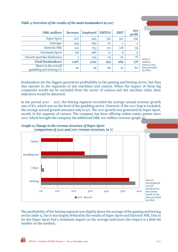| <b>HRK</b> (million)                             | Revenue    | <b>Employed</b> | <b>EBITDA</b>  | <b>EBIT</b> | <b>Net</b><br>profit |                     |
|--------------------------------------------------|------------|-----------------|----------------|-------------|----------------------|---------------------|
| <b>Super Sport</b>                               | 570        | 945             | 352            | 347         | 292                  |                     |
| Interigre                                        | 434        | 859             | 67             | $-2$        | $-2$                 |                     |
| Hattrick-PSK                                     | 332        | 753             | 137            | <b>I28</b>  | 95                   |                     |
| Germania Sport                                   | <b>I28</b> | 486             | I <sub>2</sub> | 8           | 9                    |                     |
| Favorit sportska Kladionica                      | 3          | <b>IO9</b>      | $-15$          | $-16$       | $-16$                | Sou                 |
| <b>Total (bookmakers)</b>                        | I,467      | 3,152           | 554            | 464         | 378                  | autl                |
| Share in the overall<br>gambling and betting (%) | 46         | 48              | 66             | 79          | 80                   | base<br>data<br>bvF |

#### *Table 4 Overview of the results of the main bookmakers in 2017*

 $rce:$ hors, ed on the a provided by FINA

Bookmakers are the biggest generators profitability in the gaming and betting sector, but they also operate in the segments of slot machines and casinos. When the impact of these big companies would not be excluded from the sector of casinos and slot machine clubs, their indicators would be distorted.

In the period 2010 – 2017, the betting segment recorded the average annual revenue growth rate of 8%, which was on the level of the gambling sector. However, if the 2017 leap is excluded, the average annual growth amounts only to 4%. The 2017 growth was generated by Super Sport, mostly in the segment of casinos. The company has been offering online casino games since 2017, which brought the company the additional HRK 100 million revenue (graph 15).

![](_page_14_Figure_5.jpeg)

![](_page_14_Figure_6.jpeg)

The profitability of the betting segment was slightly above the average of the gaming and betting sector (table 5), but it was largely defined by the results of Super Sport and Hattrick-PSK. Due to its size Super Sport had a dominant impact on the average indicators (the impact is a little bit smaller on the median).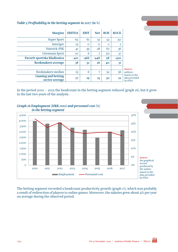| <b>Margins</b>                              | <b>EBITDA</b> | <b>EBIT</b> | <b>Net</b> | <b>ROE</b> | <b>ROCE</b>    |                                          |
|---------------------------------------------|---------------|-------------|------------|------------|----------------|------------------------------------------|
| <b>Super Sport</b>                          | 62            | 61          | 51         | 52         | 50             |                                          |
| Interigre                                   | 15            | $\Omega$    | $\circ$    | -T         | $\overline{2}$ |                                          |
| Hattrick-PSK                                | 4I            | 39          | 28         | 67         | 36             |                                          |
| Germania Sport                              | <b>IO</b>     | 6           | 7          | 50         | 37             |                                          |
| Favorit sportska Kladionica                 | $-42I$        | $-466$      | $-448$     | 58         | $-420$         |                                          |
| <b>Bookmakers average</b>                   | 38            | 32          | 26         | 40         | 3I             |                                          |
|                                             |               |             |            |            |                | Source:                                  |
| Bookmakers median                           | 15            | 6           | 7          | 52         | 36             | authors,                                 |
| <b>Gaming and betting</b><br>sector average | 27            | 19          | 15         | 30         | 22             | based on the<br>data provided<br>by FINA |

#### *Table 5 Profitability in the betting segment in 2017 (in %)*

In the period 2010 – 2015 the headcount in the betting segment reduced (graph  $16$ ), but it grew in the last two years of the analysis.

![](_page_15_Figure_3.jpeg)

# *Graph 16 Employment (HRK 000) and personnel cost (%)*

The betting segment recorded a headcount productivity growth (graph 17), which was probably a result of redirection of players to online games. Moreover, the salaries grew about 4% per year on average during the observed period.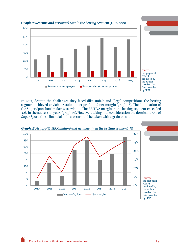![](_page_16_Figure_0.jpeg)

#### *Graph 17 Revenue and personnel cost in the betting segment (HRK 000)*

In 2017, despite the challenges they faced (like unfair and illegal competition), the betting segment achieved enviable results in net profit and net margin (graph 18). The domination of the Super Sport bookmaker was evident. The EBITDA margin in the betting segment exceeded 30% in the successful years (graph 19). However, taking into consideration the dominant role of Super Sport, these financial indicators should be taken with a grain of salt.

![](_page_16_Figure_3.jpeg)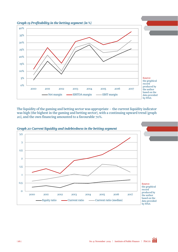![](_page_17_Figure_0.jpeg)

The liquidity of the gaming and betting sector was appropriate – the current liquidity indicator was high (the highest in the gaming and betting sector), with a continuing upward trend (graph 20), and the own financing amounted to a favourable 70%.

![](_page_17_Figure_2.jpeg)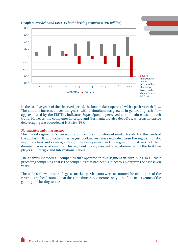![](_page_18_Figure_0.jpeg)

#### *Graph 21 Net debt and EBITDA in the betting segment (HRK million)*

In the last five years of the observed period, the bookmakers operated with a positive cash flow. The amount increased over the years, with a simultaneous growth in generating cash flow approximated by the EBITDA indicator. Super Sport is perceived as the main cause of such trend. However, the companies Interigre and Germania are also debt-free, whereas intensive deleveraging was recorded at Hattrick-PSK.

#### *Slot machine clubs and casinos*

The market segment of casinos and slot machine clubs showed similar trends. For the needs of the analysis, HL and some other largest bookmakers were excluded from the segment of slot machine clubs and casinos, although they've operated in this segment, but it was not their dominant source of revenue. This segment is very concentrated, dominated by the first two players – Interigre and International Evona.

The analysis included all companies that operated in this segment in 2017, but also all their preceding companies, that is the companies that had been subject to a merger in the past seven years.

The table 6 shows that the biggest market participants were accounted for about 50% of the revenue and headcount, but at the same time they generates only 10% of the net revenue of the gaming and betting sector.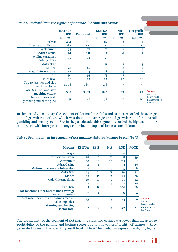|                                                  | <b>Revenue</b><br>(HRK<br>million) | <b>Employed</b> | <b>EBITDA</b><br>(HRK<br>million) | <b>EBIT</b><br>(HRK<br>million) | Net profit<br>(HKR<br>million) |
|--------------------------------------------------|------------------------------------|-----------------|-----------------------------------|---------------------------------|--------------------------------|
| Interigre                                        | 434                                | 859             | 67                                | $-2$                            | $-2$                           |
| <b>International Evona</b>                       | 182                                | 207             | 50                                | 37                              | 30                             |
| Wettpunkt                                        | 95                                 | 72              | 17                                | 9                               | 9                              |
| Adria Casino                                     | 61                                 | 151             | 7                                 | 4                               | $\overline{3}$                 |
| Mulino turizam i<br>hotelijerstvo                | 52                                 | 48              | 20                                | 7                               | 5                              |
| Multi-Star                                       | 46                                 | 86              | $_{\rm II}$                       | 7                               | 5                              |
| Moneo                                            | 45                                 | 82              | 9                                 | 8                               | 7                              |
| Major Internacional                              | 42                                 | 94              | 8                                 | 4                               | 3                              |
| <b>Brut</b>                                      | 40                                 | 95              | <b>I3</b>                         | 7                               | 6                              |
| Puni broj                                        | 38                                 | 25              | 25                                | 22                              | <b>18</b>                      |
| Top 10 (casinos and slot<br>machine clubs)       | 1,006                              | 1,659           | 216                               | 93                              | 77                             |
| <b>Total (casinos and slot</b><br>machine clubs) | 1,598                              | 3,07I           | 268                               | 69                              | 49                             |
| Share in the overall<br>gambling and betting (%) | 51                                 | 47              | 32                                | <b>I2</b>                       | IO                             |

#### *Table 6 Profitability in the segment of slot machine clubs and casinos*

Source: authors, based on the data provided by FINA

In the period 2010 – 2017, the segment of slot machine clubs and casinos recorded the average annual growth rate of 12%, which was double the average annual growth rate of the overall gambling and betting sector (6%). In the past decade, this segment recorded the highest number of mergers, with Interigre company occupying the top position as a consolidator.

#### *Table 7 Profitability in the segment of slot machine clubs and casinos in 2017 (in %)*

| <b>Margins</b>                                            | <b>EBITDA</b> | <b>EBIT</b> | <b>Net</b>     | <b>ROE</b>      | <b>ROCE</b>             |
|-----------------------------------------------------------|---------------|-------------|----------------|-----------------|-------------------------|
| Interigre                                                 | 15            | $\Omega$    | $\Omega$       | -T              | $\overline{2}$          |
| <b>International Evona</b>                                | 28            | 20          | 17             | 48              | 39                      |
| Wettpunkt                                                 | <b>18</b>     | 10          | 10             | II <sub>3</sub> | 4I                      |
| Adria Casino                                              | H             | 6           | 5              | 32              | 19                      |
| Mulino turizam i hotelijerstvo                            | 37            | 14          | 9              | 5               | 6                       |
| Multi-Star                                                | 23            | 14          | I <sub>2</sub> | 26              | 22                      |
| Moneo                                                     | 19            | 17          | 15             | 29              | 26                      |
| <b>Major Internacional</b>                                | 20            | Π           |                | 15              | I <sub>2</sub>          |
| <b>Brut</b>                                               | 32            | <b>18</b>   | 14             | 2I              | 19                      |
| Puni broj                                                 | 65            | 59          | 48             | <b>IO4</b>      | 88                      |
| Slot machine clubs and casinos average<br>(all companies) | 17            | 4           | 3              | 6               | $\overline{\mathbf{4}}$ |
| Slot machine clubs and casinos median<br>(all companies)  | <b>18</b>     | 6           | 4              | <b>I5</b>       |                         |
| <b>Gaming and betting</b><br>sector total                 | 27            | 19          | 15             | 30              | 22                      |

Source: authors, based on the data provided by FINA

The profitability of the segment of slot machine clubs and casinos was lower than the average profitability of the gaming and betting sector due to a lower profitability of casinos – they generated losses on the operating result level (table 7). The median margins show slightly higher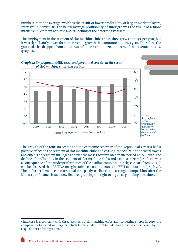numbers than the average, which is the result of lower profitability of larg er market players, Interigre in particular. The below average profitability of Interigre was the result of a more intensive investment activity1 and cancelling of the deferred tax assets.

The employment in the segment of slot machine clubs and casinos grew about 5% per year, but it was significantly lower than the revenue growth that amounted to 12% a year. Therefore, the gross salaries dropped from about 24% of the revenue in 2010 to 20% of the revenue in 2017. (graph 22).

![](_page_20_Figure_2.jpeg)

The growth of the tourism sector and the economic recovery of the Republic of Croatia had a positive effect on the segment of slot machine clubs and casinos, especially in the coastal towns and cities. The segment managed to cover the losses accumulated in the period 2010 – 2012. The decline of profitability in the segment of slot machine clubs and casinos in 2017 (graph 24) was a consequence of the underperformance of the leading company, Interigre. Apart from 2017, it can be observed that EBITDA margin stabilised at about 20%, and EBIT at about 10% (graph 25). The underperformance in 2017 can also be partly attributed to a stronger competition, after the Ministry of Finance issued new licences granting the right to organise gambling in casinos.

 1 Interigre is a company with three casinos, 80 slot machine clubs and 110 betting shops. In 2016, the company participated in mergers, which led to a fall in profitability and a rise in costs caused by the acquisitions and integration.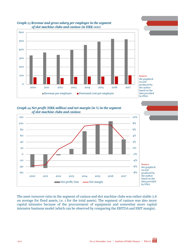![](_page_21_Figure_0.jpeg)

![](_page_21_Figure_1.jpeg)

Source: the graphical record produced by the author based on the data provided by FINA

*Graph 24 Net profit (HRK million) and net margin (in %) in the segment of slot machine clubs and casinos* 

![](_page_21_Figure_4.jpeg)

The asset turnover ratio in the segment of casinos and slot machine clubs was rather stable (1.8 on average for fixed assets, i.e. 1 for the total assets). The segment of casinos was also more capital intensive because of the procurement of equipment and somewhat more capital intensive business model (which can be observed by comparing the EBITDA and EBIT margin).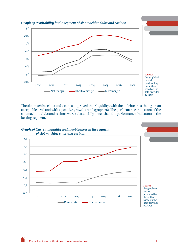![](_page_22_Figure_0.jpeg)

*Graph 25 Profitability in the segment of slot machine clubs and casinos* 

The slot machine clubs and casinos improved their liquidity, with the indebtedness being on an acceptable level and with a positive growth trend (graph 26). The performance indicators of the slot machine clubs and casinos were substantially lower than the performance indicators in the betting segment.

![](_page_22_Figure_3.jpeg)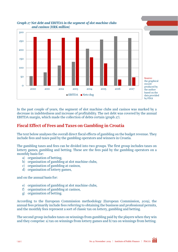![](_page_23_Figure_0.jpeg)

#### *Graph 27 Net debt and EBITDA in the segment of slot machine clubs and casinos (HRK million)*

In the past couple of years, the segment of slot machine clubs and casinos was marked by a decrease in indebtedness and increase of profitability. The net debt was covered by the annual EBITDA margin, which made the collection of debts certain (graph 27).

# Fiscal Effect of Fees and Taxes on Gambling in Croatia

The text below analyses the overall direct fiscal effects of gambling on the budget revenue. They include fees and taxes paid by the gambling operators and winners in Croatia.

The gambling taxes and fees can be divided into two groups. The first group includes taxes on lottery games, gambling and betting. These are the fees paid by the gambling operators on a monthly basis for:

- a) organisation of betting,
- b) organisation of gambling at slot machine clubs,
- c) organisation of gambling at casinos,
- d) organisation of lottery games,

and on the annual basis for:

- e) organisation of gambling at slot machine clubs,
- f) organisation of gambling at casinos,
- g) organisation of betting.

According to the European Commission methodology (European Commission, 2019), the annual fees primarily include fees referring to obtaining the business and professional permits, and the monthly fees represent a sort of classic tax on lottery, gambling and betting.

The second group includes taxes on winnings from gambling paid by the players when they win and they comprise: a) tax on winnings from lottery games and b) tax on winnings from betting.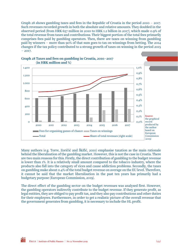Graph 28 shows gambling taxes and fees in the Republic of Croatia in the period 2010 – 2017. Such revenues recorded growth in both the absolute and relative amounts. They doubled in the observed period (from HRK 657 million in 2010 to HRK 1.2 billion in 2017), which made 0.9% of the total revenue from taxes and contributions. Their biggest portion of the total fees primarily comprises fees paid by gambling operators. Then, there are taxes on winning from gambling paid by winners – more than 90% of that sum goes to tax on winnings from betting. The 2014 changes if the tax policy contributed to a strong growth of taxes on winning in the period 2015  $-2017.$ 

![](_page_24_Figure_1.jpeg)

#### Graph 28 Taxes and fees on gambling in Croatia, 2010 -2017 (in HRK million and %)

Many authors (e.g. Torre, Zoričić and Škifić, 2010) emphasise taxation as the main rationale behind the liberalisation of the gambling market. However, this is not the case in Croatia. There are two main reasons for this. Firstly, the direct contribution of gambling to the budget revenue is lower than 1%. It is a relatively small amount compared to the tobacco industry, where the products also fall into the category of vices and cause addiction problems. Secondly, the taxes on gambling make about 0.4% of the total budget revenue on average on the EU level. Therefore, it cannot be said that the market liberalisation in the past ten years has primarily had a budgetary purpose (European Commission, 2019).

The direct effect of the gambling sector on the budget revenues was analysed first. However, the gambling operators indirectly contribute to the budget revenue. If they generate profit, as legal entities, they are obliged to pay profit tax, and they also pay contributions and other duties for their employees. Furthermore, in order to get a realistic picture of the overall revenue that the government generates from gambling, it is necessary to include the HL profit.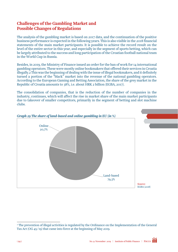# Challenges of the Gambling Market and Possible Changes of Regulations

The analysis of the gambling market is based on 2017 data, and the continuation of the positive business performance is expected in the following years. This is also visible in the 2018 financial statements of the main market participants. It is possible to achieve the record result on the level of the entire sector in this year, and especially in the segment of sports betting, which can be largely attributed to the success and long participation of the Croatian football national team in the World Cup in Russia.

Besides, in 2019, the Ministry of Finance issued an order for the ban of work for 14 international gambling operators. These were mostly online bookmakers that offered their services in Croatia illegally.2 This was the beginning of dealing with the issue of illegal bookmakers, and it definitely turned a portion of the "black" market into the revenue of the national gambling operators. According to the European Gaming and Betting Association, the share of the grey market in the Republic of Croatia amounts to 38%, i.e. about HRK 2 billion (EGBA, 2017).

The consolidation of companies, that is the reduction of the number of companies in the industry, continues, which will affect the rise in market share of the main market participants due to takeover of smaller competitors, primarily in the segment of betting and slot machine clubs.

![](_page_25_Figure_4.jpeg)

 2 The prevention of illegal activities is regulated by the Ordinance on the Implementation of the General Tax Act (OG 45/19) that came into force at the beginning of May 2019.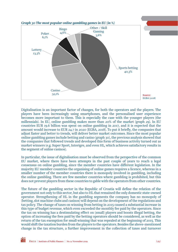![](_page_26_Figure_0.jpeg)

Digitalisation is an important factor of changes, for both the operators and the players. The players have been increasingly using smartphones, and the personalised user experience becomes more important to them. This is especially the case with the younger players (the millennials). In EU, online gambling makes more than 20% of the market (graph 29). In EU countries EUR 19.6 billion was spent on online gambling in 2017, and it is expected that the amount would increase to EUR 24.7 in 2020 (EGBA, 2018). To put it briefly, the companies that adjust faster and better to trends, will deliver better market outcomes. Since the most popular online gambling games include betting and casino (graph 30), the previous analysis showed that the companies that followed trends and developed this form of business activity turned out as market winners (e.g. Super Sport, Interigre, and even HL, which achieves satisfactory results in the segment of online casinos).

In particular, the issue of digitalisation must be observed from the perspective of the common EU market, where there have been attempts in the past couple of years to reach a legal consensus on online gambling, since the member countries have different legislation. In the majority EU member countries the organising of online games requires a licence, whereas in a smaller number of the member countries there is monopoly involved in gambling, including the online gambling. There are few member countries where gambling is prohibited, but this does not prevent players from these countries to gable with the operators from other countries.

The future of the gambling sector in the Republic of Croatia will define the relation of the government not only to this sector, but also to HL that remained the only domestic state-owned operator. Strengthening of HL in the gambling segments the company has no monopoly of (betting, slot machine clubs and casinos) will depend on the development of the regulations and tax policy. The change of taxes on winning from betting in 2015 caused a substantial increase in this type of budget revenue, which even exceeded the monthly fee paid by the operators. Since the tax on winning has a destimulating effect on (small) players and boosts illegal betting, the option of increasing the fees paid by the betting operators should be considered, as well as the return of the tax exemption for small winning that was repealed at the beginning of 2015. This would shift the taxation burden from the players to the operators. Besides the above-mentioned change in the tax structure, a further improvement in the collection of taxes and turnover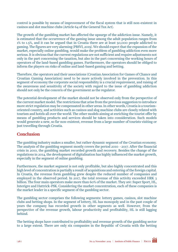control is possible by means of improvement of the fiscal system that is still non-existent in casinos and slot machine clubs (Article 64 of the General Tax Act).

The growth of the gambling market has affected the upsurge of the addiction issue. Namely, it is estimated that the occurrence of the gaming issue among the adult population ranges from 1% to 1.5%, and it can be argued that in Croatia there are at least 50,000 people addicted to gaming. The figures are very alarming (PBSVI, 2019). We should expect that the expansion of the market, especially online gambling, would make the problem of gambling addiction even more serious. It is obvious that the current regulations are not sufficient and require adjustments not only in the part concerning the taxation, but also in the part concerning the working hours of operators of the land-based gambling games. Furthermore, the operators should be obliged to inform the players on risks of online and land-based gaming and betting.

Therefore, the operators and their associations (Croatian Association for Games of Chance and Croatian Gaming Association) need to be more actively involved in the prevention. In this segment of economy the corporate social responsibility is a crucial requirement, and raising of the awareness and sensitivity of the society with regard to the issue of gambling addiction should not only be the concern of the government as the regulator.

The potential development of the market should not be observed only from the perspective of the current market model. The restrictions that arise from the previous suggestion to introduce more strict regulation may be compensated in other areas. In other words, Croatia is a tourismoriented country, and activities such as casinos and slog machine clubs are closely related with tourism and hotels all over the world. The other models aiming at enriching the tourist offer by means of gambling products and services should be taken into consideration. Such models would generate a new, so far non-existent, revenue from a large number of tourists visiting or just travelling through Croatia.

# **Conclusion**

The gambling industry makes a smaller, but rather dynamic segment of the Croatian economy. The analysis of the gambling segment mostly covers the period 2010 –2017. After the financial crisis in 2010, the gambling market recorded growth and recovery. Besides the change of the regulations in 2014, the development of digitalisation has highly influenced the market growth, especially in the segment of online gambling.

Furthermore, the market segment is not only profitable, but also highly concentrated and this high level of concentration is partially a result of acquisitions and entering of the foreign capital. In Croatia, the revenue form gambling grew despite the reduced number of companies and employed in the observed period. In 2017, the total revenue of this activity exceeded HRK 3 billion. The four main operators make more than 60% of the market. They are: Super Sport, HL, Interigre and Hattrick-PSK. Considering the market concentration, each of these companies is the market leader in a specific segment of the gambling sector.

The gambling sector comprises the following segments: lottery games, casinos, slot machine clubs and betting shops. In the segment of lottery, HL has monopoly and in the past couple of years the company has recorded growth in other segments as well. However, from the perspective of the revenue growth, labour productivity and profitability, HL is still lagging behind.

The betting shops have contributed to profitability and revenue growth of the gambling sector to a large extent. There are only six companies in the Republic of Croatia with the betting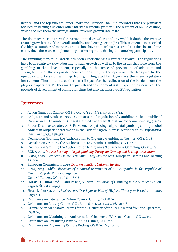licence, and the top two are Super Sport and Hattrick-PSK. The operators that are primarily focused on betting also enter other market segments, primarily the segment of online casinos, which secures them the average annual revenue growth rate of 8%.

The slot machine clubs have the average annual growth rate of 12%, which is double the average annual growth rate of the overall gambling and betting sector (6%). This segment also recorded the highest number of mergers. The casinos have similar business trends as the slot machine clubs, since these are complementary market segment sharing the same key participants.

The gambling market in Croatia has been experiencing a significant growth. The regulations have been relatively slow adjusting to such growth as well as to the issues that arise from the gambling market development, especially in the sense of prevention of addiction and strengthening of the corporate social responsibility of the operators. The fees paid by the operators and taxes on winnings from gambling paid by players are the main regulatory instruments. Thus, in this area there is still space for the reallocation of the burden from the players to operators. Further market growth and development is still expected, especially on the grounds of development of online gambling, but also the improved EU regulation.

# References

- 1. Act on Games of Chance, OG 87/09, 35/13, 158/13, 41/14, 143/14.
- 2. Anić, I. D. and Vouk, R., 2000. Comparison of Regulation of Gambling in the Republic of Croatia and EU Countries. *Hrvatska gospodarska revija* (Croatian Economic Journal), 9, 1-10
- 3. Bodor, D. and associates, 2018. Prevalence of pathological prenatal gambling among alcohol addicts in outpatient treatment in the City of Zagreb: A cross-sectional study. *Psychiatria Danubina*, 30(3), 348-355
- 4. Decision on Granting the Authorisation to Organise Gambling in Casinos, OG 116/18
- 5. Decision on Granting the Authorisation to Organise Gambling, OG 116/18
- 6. Decision on Granting the Authorisation to Organise Slot Machine Gambling, OG 116/18
- 7. EGBA, 2017. *[Interactive map Illegal gambling. European Gaming and Betting Association](http://www.egba.eu/facts-and-figures/interactive-map/)*.
- 8. EGBA, 2018. *European Online Gambling Key Figures 2017*. European Gaming and Betting Association.
- 9. European Commission, 2019. *[Data on taxation, National tax lists](https://ec.europa.eu/taxation_customs/business/economic-analysis-taxation/data-taxation_en)*.
- 10. FINA, 2019. *Public Disclosure of Financial Statements of All Companies in the Republic of Croatia*. Zagreb: Financial Agency
- 11. General Tax Act, OG 115/16, 106/18.
- 12. Horak, H., Dumančić, K. and Pošćić, A., 2017. *Regulation of Gambling in the European Union*. Zagreb: Školska knjiga.
- 13. Hrvatska Lutrija, 2013. *Business and Development Plan of HL for a Three-year Period, 2013 -2015* Zagreb: HL.
- 14. Ordinance on Interactive Online Casino Gaming, OG 78/10.
- 15. Ordinance on Lottery Games, OG 78/10, 69/11, 22/15, 45/16, 101/18.
- 16. Ordinance on Mandatory Records for the Calculation of the Fee Collected from the Operators, OG 8/15.
- 17. Ordinance on Obtaining the Authorisation (Licence) to Work at a Casino, OG 78/10.
- 18. Ordinance on Organising Prize Winning Games, OG 8/10.
- 19. Ordinance on Organising Remote Betting, OG 8/10, 63/10, 22/15.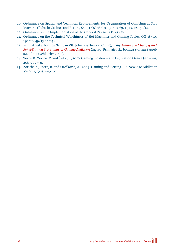- 20. Ordinance on Spatial and Technical Requirements for Organisation of Gambling at Slot Machine Clubs, in Casinos and Betting Shops, OG 38/10, 130/10, 69/11, 15/12, 151/14.
- 21. Ordinance on the Implementation of the General Tax Act, OG 45/19.
- 22. Ordinance on the Technical Worthiness of Slot Machines and Gaming Tables, OG 38/10, 130/10, 49/13, 12/14 .
- 23. Psihijatrijska bolnica Sv. Ivan (St. John Psychiatric Clinic), 2019. *[Gaming Therapy and](https://www.pbsvi.hr/strucni-programi/kocka-terapijsko-rehabilitacijski-program-za-ovisnost-o-kockanju/)  [Rehabilitation Programm for Gaming Addiction](https://www.pbsvi.hr/strucni-programi/kocka-terapijsko-rehabilitacijski-program-za-ovisnost-o-kockanju/)*. Zagreb: Psihijatrijska bolnica Sv. Ivan Zagreb (St. John Psychiatric Clinic).
- 24. Torre, R., Zoričić, Z. and Škifić, B., 2010. Gaming Incidence and Legislation *Medica Jadretina*, 40(1-2), 27-31.
- 25. Zoričić, Z., Torre, R. and Orešković, A., 2009. Gaming and Betting A New Age Addiction *Medicus*, 17(2), 205-209.